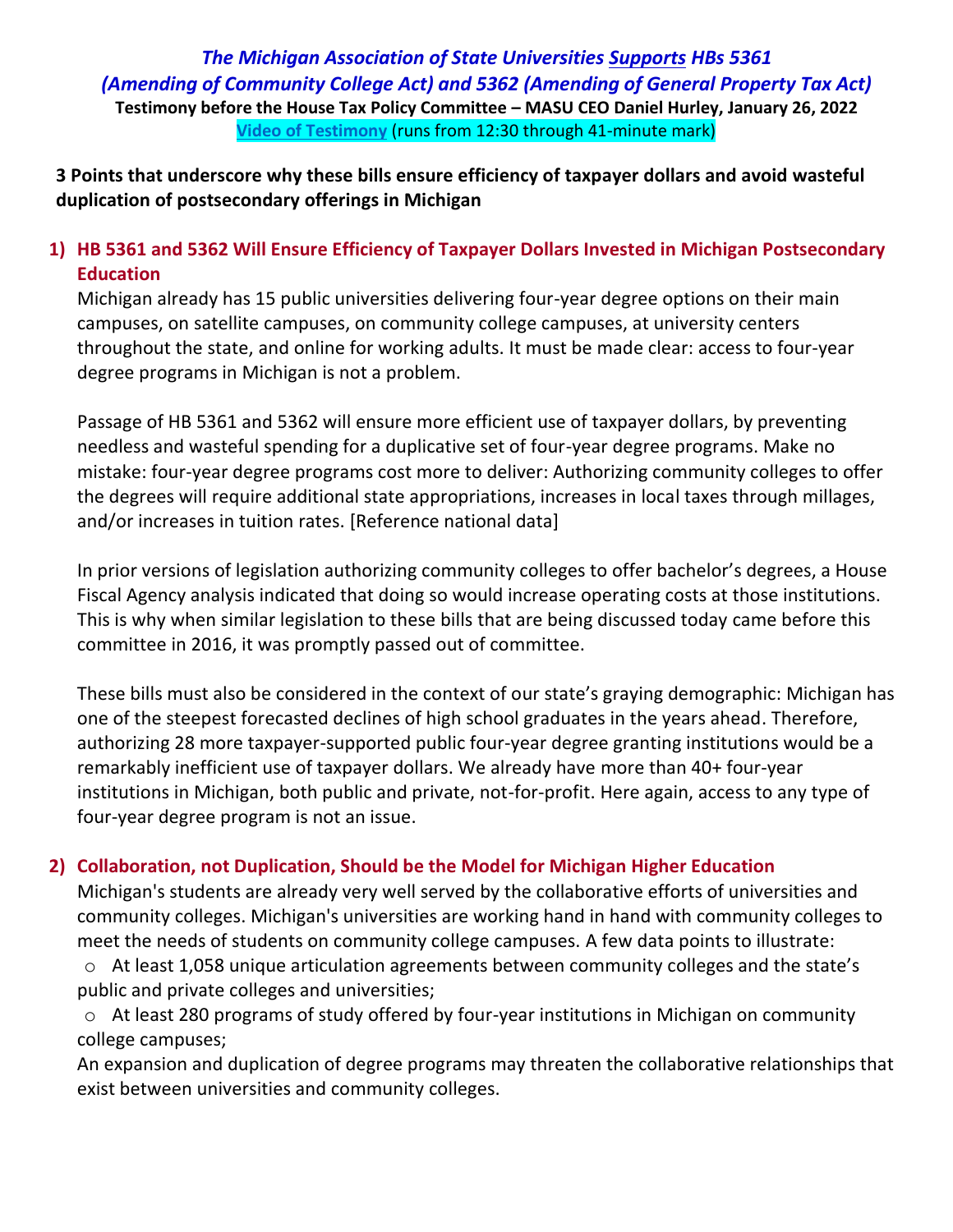*The Michigan Association of State Universities Supports HBs 5361 (Amending of Community College Act) and 5362 (Amending of General Property Tax Act)* **Testimony before the House Tax Policy Committee – MASU CEO Daniel Hurley, January 26, 2022 [Video of Testimony](https://www.house.mi.gov/VideoArchivePlayer?video=TAXP-012622.mp4)** (runs from 12:30 through 41-minute mark)

**3 Points that underscore why these bills ensure efficiency of taxpayer dollars and avoid wasteful duplication of postsecondary offerings in Michigan**

## **1) HB 5361 and 5362 Will Ensure Efficiency of Taxpayer Dollars Invested in Michigan Postsecondary Education**

Michigan already has 15 public universities delivering four-year degree options on their main campuses, on satellite campuses, on community college campuses, at university centers throughout the state, and online for working adults. It must be made clear: access to four-year degree programs in Michigan is not a problem.

Passage of HB 5361 and 5362 will ensure more efficient use of taxpayer dollars, by preventing needless and wasteful spending for a duplicative set of four-year degree programs. Make no mistake: four-year degree programs cost more to deliver: Authorizing community colleges to offer the degrees will require additional state appropriations, increases in local taxes through millages, and/or increases in tuition rates. [Reference national data]

In prior versions of legislation authorizing community colleges to offer bachelor's degrees, a House Fiscal Agency analysis indicated that doing so would increase operating costs at those institutions. This is why when similar legislation to these bills that are being discussed today came before this committee in 2016, it was promptly passed out of committee.

These bills must also be considered in the context of our state's graying demographic: Michigan has one of the steepest forecasted declines of high school graduates in the years ahead. Therefore, authorizing 28 more taxpayer-supported public four-year degree granting institutions would be a remarkably inefficient use of taxpayer dollars. We already have more than 40+ four-year institutions in Michigan, both public and private, not-for-profit. Here again, access to any type of four-year degree program is not an issue.

## **2) Collaboration, not Duplication, Should be the Model for Michigan Higher Education**

Michigan's students are already very well served by the collaborative efforts of universities and community colleges. Michigan's universities are working hand in hand with community colleges to meet the needs of students on community college campuses. A few data points to illustrate:

o At least 1,058 unique articulation agreements between community colleges and the state's public and private colleges and universities;

o At least 280 programs of study offered by four-year institutions in Michigan on community college campuses;

An expansion and duplication of degree programs may threaten the collaborative relationships that exist between universities and community colleges.